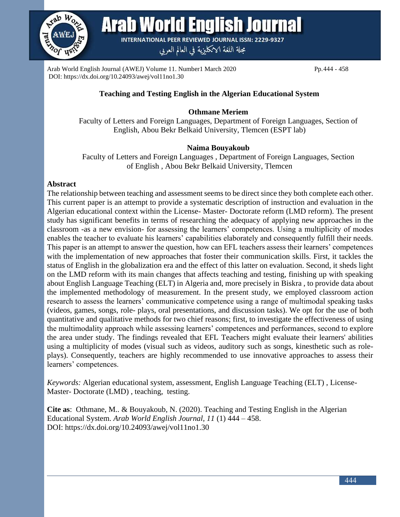

**Arab World English Journal** 

**INTERNATIONAL PEER REVIEWED JOURNAL ISSN: 2229-9327** 

مجلة اللغة الانكليزية في العالم العربي

Arab World English Journal (AWEJ) Volume 11. Number1 March 2020 Pp.444 - 458 DOI: https://dx.doi.org/10.24093/awej/vol11no1.30

# **Teaching and Testing English in the Algerian Educational System**

## **Othmane Meriem**

Faculty of Letters and Foreign Languages, Department of Foreign Languages, Section of English, Abou Bekr Belkaid University, Tlemcen (ESPT lab)

## **Naima Bouyakoub**

Faculty of Letters and Foreign Languages , Department of Foreign Languages, Section of English , Abou Bekr Belkaid University, Tlemcen

#### **Abstract**

The relationship between teaching and assessment seems to be direct since they both complete each other. This current paper is an attempt to provide a systematic description of instruction and evaluation in the Algerian educational context within the License- Master- Doctorate reform (LMD reform). The present study has significant benefits in terms of researching the adequacy of applying new approaches in the classroom -as a new envision- for assessing the learners' competences. Using a multiplicity of modes enables the teacher to evaluate his learners' capabilities elaborately and consequently fulfill their needs. This paper is an attempt to answer the question, how can EFL teachers assess their learners' competences with the implementation of new approaches that foster their communication skills. First, it tackles the status of English in the globalization era and the effect of this latter on evaluation. Second, it sheds light on the LMD reform with its main changes that affects teaching and testing, finishing up with speaking about English Language Teaching (ELT) in Algeria and, more precisely in Biskra , to provide data about the implemented methodology of measurement. In the present study, we employed classroom action research to assess the learners' communicative competence using a range of multimodal speaking tasks (videos, games, songs, role- plays, oral presentations, and discussion tasks). We opt for the use of both quantitative and qualitative methods for two chief reasons; first, to investigate the effectiveness of using the multimodality approach while assessing learners' competences and performances, second to explore the area under study. The findings revealed that EFL Teachers might evaluate their learners' abilities using a multiplicity of modes (visual such as videos, auditory such as songs, kinesthetic such as roleplays). Consequently, teachers are highly recommended to use innovative approaches to assess their learners' competences.

*Keywords:* Algerian educational system, assessment, English Language Teaching (ELT) , License-Master- Doctorate (LMD) , teaching, testing.

**Cite as**: Othmane, M.. & Bouyakoub, N. (2020). Teaching and Testing English in the Algerian Educational System. *Arab World English Journal, 11* (1) 444 – 458. DOI: https://dx.doi.org/10.24093/awej/vol11no1.30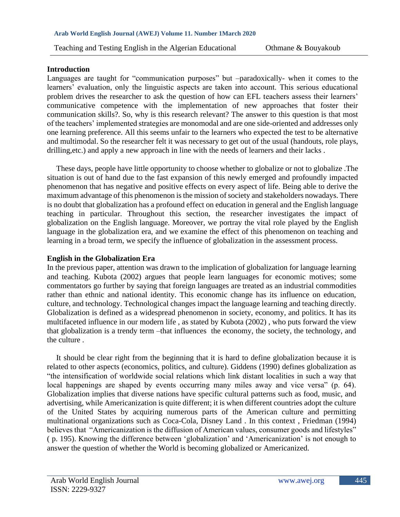#### **Introduction**

Languages are taught for "communication purposes" but –paradoxically- when it comes to the learners' evaluation, only the linguistic aspects are taken into account. This serious educational problem drives the researcher to ask the question of how can EFL teachers assess their learners' communicative competence with the implementation of new approaches that foster their communication skills?. So, why is this research relevant? The answer to this question is that most of the teachers' implemented strategies are monomodal and are one side-oriented and addresses only one learning preference. All this seems unfair to the learners who expected the test to be alternative and multimodal. So the researcher felt it was necessary to get out of the usual (handouts, role plays, drilling,etc.) and apply a new approach in line with the needs of learners and their lacks .

These days, people have little opportunity to choose whether to globalize or not to globalize .The situation is out of hand due to the fast expansion of this newly emerged and profoundly impacted phenomenon that has negative and positive effects on every aspect of life. Being able to derive the maximum advantage of this phenomenon is the mission of society and stakeholders nowadays. There is no doubt that globalization has a profound effect on education in general and the English language teaching in particular. Throughout this section, the researcher investigates the impact of globalization on the English language. Moreover, we portray the vital role played by the English language in the globalization era, and we examine the effect of this phenomenon on teaching and learning in a broad term, we specify the influence of globalization in the assessment process.

#### **English in the Globalization Era**

In the previous paper, attention was drawn to the implication of globalization for language learning and teaching. Kubota (2002) argues that people learn languages for economic motives; some commentators go further by saying that foreign languages are treated as an industrial commodities rather than ethnic and national identity. This economic change has its influence on education, culture, and technology. Technological changes impact the language learning and teaching directly. Globalization is defined as a widespread phenomenon in society, economy, and politics. It has its multifaceted influence in our modern life , as stated by Kubota (2002) , who puts forward the view that globalization is a trendy term –that influences the economy, the society, the technology, and the culture .

It should be clear right from the beginning that it is hard to define globalization because it is related to other aspects (economics, politics, and culture). Giddens (1990) defines globalization as "the intensification of worldwide social relations which link distant localities in such a way that local happenings are shaped by events occurring many miles away and vice versa" (p. 64). Globalization implies that diverse nations have specific cultural patterns such as food, music, and advertising, while Americanization is quite different; it is when different countries adopt the culture of the United States by acquiring numerous parts of the American culture and permitting multinational organizations such as Coca-Cola, Disney Land . In this context , Friedman (1994) believes that "Americanization is the diffusion of American values, consumer goods and lifestyles" ( p. 195). Knowing the difference between 'globalization' and 'Americanization' is not enough to answer the question of whether the World is becoming globalized or Americanized.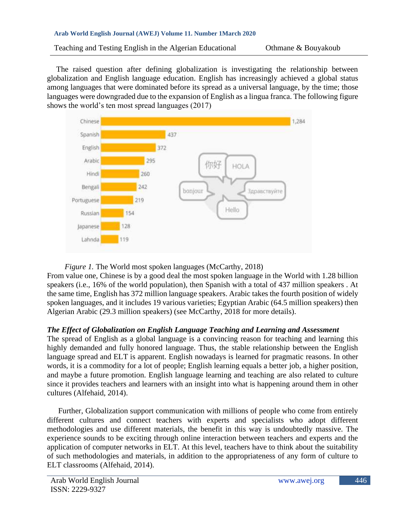Teaching and Testing English in the Algerian Educational Othmane & Bouyakoub

The raised question after defining globalization is investigating the relationship between globalization and English language education. English has increasingly achieved a global status among languages that were dominated before its spread as a universal language, by the time; those languages were downgraded due to the expansion of English as a lingua franca. The following figure shows the world's ten most spread languages (2017)





From value one, Chinese is by a good deal the most spoken language in the World with 1.28 billion speakers (i.e., 16% of the world population), then Spanish with a total of 437 million speakers . At the same time, English has 372 million language speakers. Arabic takes the fourth position of widely spoken languages, and it includes 19 various varieties; Egyptian Arabic (64.5 million speakers) then Algerian Arabic (29.3 million speakers) (see McCarthy, 2018 for more details).

## *The Effect of Globalization on English Language Teaching and Learning and Assessment*

The spread of English as a global language is a convincing reason for teaching and learning this highly demanded and fully honored language. Thus, the stable relationship between the English language spread and ELT is apparent. English nowadays is learned for pragmatic reasons. In other words, it is a commodity for a lot of people; English learning equals a better job, a higher position, and maybe a future promotion. English language learning and teaching are also related to culture since it provides teachers and learners with an insight into what is happening around them in other cultures (Alfehaid, 2014).

Further, Globalization support communication with millions of people who come from entirely different cultures and connect teachers with experts and specialists who adopt different methodologies and use different materials, the benefit in this way is undoubtedly massive. The experience sounds to be exciting through online interaction between teachers and experts and the application of computer networks in ELT. At this level, teachers have to think about the suitability of such methodologies and materials, in addition to the appropriateness of any form of culture to ELT classrooms (Alfehaid, 2014).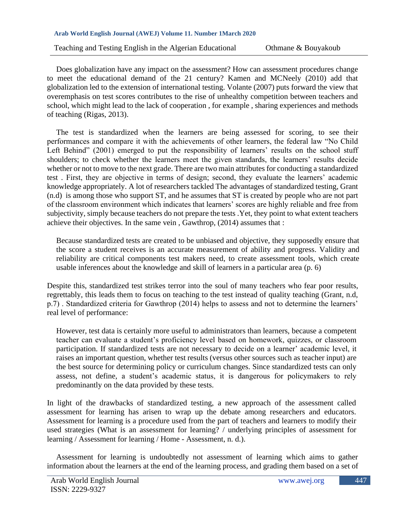Teaching and Testing English in the Algerian Educational Othmane & Bouyakoub

Does globalization have any impact on the assessment? How can assessment procedures change to meet the educational demand of the 21 century? Kamen and MCNeely (2010) add that globalization led to the extension of international testing. Volante (2007) puts forward the view that overemphasis on test scores contributes to the rise of unhealthy competition between teachers and school, which might lead to the lack of cooperation , for example , sharing experiences and methods of teaching (Rigas, 2013).

The test is standardized when the learners are being assessed for scoring, to see their performances and compare it with the achievements of other learners, the federal law "No Child Left Behind" (2001) emerged to put the responsibility of learners' results on the school stuff shoulders; to check whether the learners meet the given standards, the learners' results decide whether or not to move to the next grade. There are two main attributes for conducting a standardized test . First, they are objective in terms of design; second, they evaluate the learners' academic knowledge appropriately. A lot of researchers tackled The advantages of standardized testing, Grant (n.d) is among those who support ST, and he assumes that ST is created by people who are not part of the classroom environment which indicates that learners' scores are highly reliable and free from subjectivity, simply because teachers do not prepare the tests .Yet, they point to what extent teachers achieve their objectives. In the same vein , Gawthrop, (2014) assumes that :

Because standardized tests are created to be unbiased and objective, they supposedly ensure that the score a student receives is an accurate measurement of ability and progress. Validity and reliability are critical components test makers need, to create assessment tools, which create usable inferences about the knowledge and skill of learners in a particular area (p. 6)

Despite this, standardized test strikes terror into the soul of many teachers who fear poor results, regrettably, this leads them to focus on teaching to the test instead of quality teaching (Grant, n.d, p.7) . Standardized criteria for Gawthrop (2014) helps to assess and not to determine the learners' real level of performance:

However, test data is certainly more useful to administrators than learners, because a competent teacher can evaluate a student's proficiency level based on homework, quizzes, or classroom participation. If standardized tests are not necessary to decide on a learner' academic level, it raises an important question, whether test results (versus other sources such as teacher input) are the best source for determining policy or curriculum changes. Since standardized tests can only assess, not define, a student's academic status, it is dangerous for policymakers to rely predominantly on the data provided by these tests.

In light of the drawbacks of standardized testing, a new approach of the assessment called assessment for learning has arisen to wrap up the debate among researchers and educators. Assessment for learning is a procedure used from the part of teachers and learners to modify their used strategies (What is an assessment for learning? / underlying principles of assessment for learning / Assessment for learning / Home - Assessment, n. d.).

Assessment for learning is undoubtedly not assessment of learning which aims to gather information about the learners at the end of the learning process, and grading them based on a set of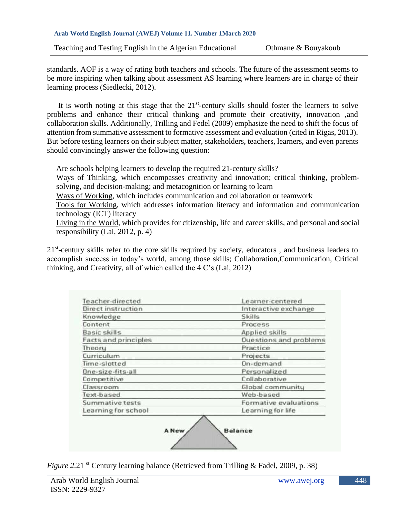standards. AOF is a way of rating both teachers and schools. The future of the assessment seems to be more inspiring when talking about assessment AS learning where learners are in charge of their learning process (Siedlecki, 2012).

It is worth noting at this stage that the  $21<sup>st</sup>$ -century skills should foster the learners to solve problems and enhance their critical thinking and promote their creativity, innovation ,and collaboration skills. Additionally, Trilling and Fedel (2009) emphasize the need to shift the focus of attention from summative assessment to formative assessment and evaluation (cited in Rigas, 2013). But before testing learners on their subject matter, stakeholders, teachers, learners, and even parents should convincingly answer the following question:

Are schools helping learners to develop the required 21-century skills?

Ways of Thinking, which encompasses creativity and innovation; critical thinking, problemsolving, and decision-making; and metacognition or learning to learn

Ways of Working, which includes communication and collaboration or teamwork

Tools for Working, which addresses information literacy and information and communication technology (ICT) literacy

Living in the World, which provides for citizenship, life and career skills, and personal and social responsibility (Lai, 2012, p. 4)

21<sup>st</sup>-century skills refer to the core skills required by society, educators, and business leaders to accomplish success in today's world, among those skills; Collaboration,Communication, Critical thinking, and Creativity, all of which called the 4 C's (Lai, 2012)

| Interactive exchange<br>Skills<br>Process<br>Applied skills<br>Practice<br>Projects |  |
|-------------------------------------------------------------------------------------|--|
|                                                                                     |  |
| Questions and problems                                                              |  |
|                                                                                     |  |
|                                                                                     |  |
|                                                                                     |  |
|                                                                                     |  |
|                                                                                     |  |
| On-demand                                                                           |  |
| Personalized                                                                        |  |
| Collaborative                                                                       |  |
| Global community                                                                    |  |
| Web-based                                                                           |  |
| Formative evaluations                                                               |  |
| Learning for life                                                                   |  |
| <b>Balance</b>                                                                      |  |

*Figure* 2.21 <sup>st</sup> Century learning balance (Retrieved from Trilling & Fadel, 2009, p. 38)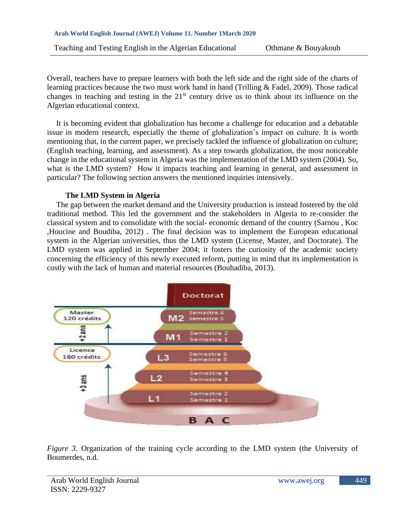Overall, teachers have to prepare learners with both the left side and the right side of the charts of learning practices because the two must work hand in hand (Trilling & Fadel, 2009). Those radical changes in teaching and testing in the 21<sup>st</sup> century drive us to think about its influence on the Algerian educational context.

It is becoming evident that globalization has become a challenge for education and a debatable issue in modern research, especially the theme of globalization's impact on culture. It is worth mentioning that, in the current paper, we precisely tackled the influence of globalization on culture; (English teaching, learning, and assessment). As a step towards globalization, the most noticeable change in the educational system in Algeria was the implementation of the LMD system (2004). So, what is the LMD system? How it impacts teaching and learning in general, and assessment in particular? The following section answers the mentioned inquiries intensively.

#### **The LMD System in Algeria**

The gap between the market demand and the University production is instead fostered by the old traditional method. This led the government and the stakeholders in Algeria to re-consider the classical system and to consolidate with the social- economic demand of the country (Sarnou , Koc ,Houcine and Boudiba, 2012) . The final decision was to implement the European educational system in the Algerian universities, thus the LMD system (License, Master, and Doctorate). The LMD system was applied in September 2004; it fosters the curiosity of the academic society concerning the efficiency of this newly executed reform, putting in mind that its implementation is costly with the lack of human and material resources (Bouhadiba, 2013).



*Figure 3.* Organization of the training cycle according to the LMD system (the University of Boumerdes, n.d.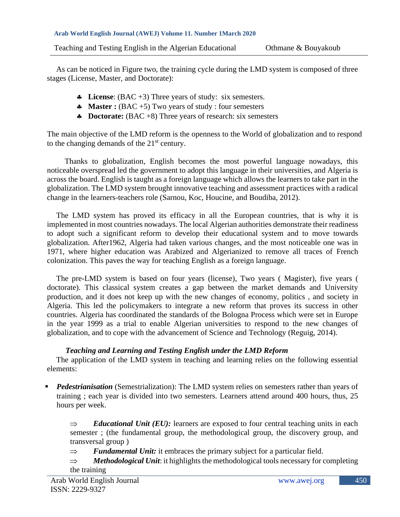As can be noticed in Figure two, the training cycle during the LMD system is composed of three stages (License, Master, and Doctorate):

- **License:** (BAC +3) Three years of study: six semesters.
- **Master :** (BAC +5) Two years of study : four semesters
- **A** Doctorate: (BAC +8) Three years of research: six semesters

The main objective of the LMD reform is the openness to the World of globalization and to respond to the changing demands of the  $21<sup>st</sup>$  century.

Thanks to globalization, English becomes the most powerful language nowadays, this noticeable overspread led the government to adopt this language in their universities, and Algeria is across the board. English is taught as a foreign language which allows the learners to take part in the globalization. The LMD system brought innovative teaching and assessment practices with a radical change in the learners-teachers role (Sarnou, Koc, Houcine, and Boudiba, 2012).

The LMD system has proved its efficacy in all the European countries, that is why it is implemented in most countries nowadays. The local Algerian authorities demonstrate their readiness to adopt such a significant reform to develop their educational system and to move towards globalization. After1962, Algeria had taken various changes, and the most noticeable one was in 1971, where higher education was Arabized and Algerianized to remove all traces of French colonization. This paves the way for teaching English as a foreign language.

The pre-LMD system is based on four years (license), Two years ( Magister), five years ( doctorate). This classical system creates a gap between the market demands and University production, and it does not keep up with the new changes of economy, politics , and society in Algeria. This led the policymakers to integrate a new reform that proves its success in other countries. Algeria has coordinated the standards of the Bologna Process which were set in Europe in the year 1999 as a trial to enable Algerian universities to respond to the new changes of globalization, and to cope with the advancement of Science and Technology (Reguig, 2014).

## *Teaching and Learning and Testing English under the LMD Reform*

The application of the LMD system in teaching and learning relies on the following essential elements:

**•** *Pedestrianisation* (Semestrialization): The LMD system relies on semesters rather than years of training ; each year is divided into two semesters. Learners attend around 400 hours, thus, 25 hours per week.

 $\Rightarrow$  *Educational Unit (EU):* learners are exposed to four central teaching units in each semester ; (the fundamental group, the methodological group, the discovery group, and transversal group )

 $\Rightarrow$  **Fundamental Unit:** it embraces the primary subject for a particular field.

 $\Rightarrow$  *Methodological Unit*: it highlights the methodological tools necessary for completing the training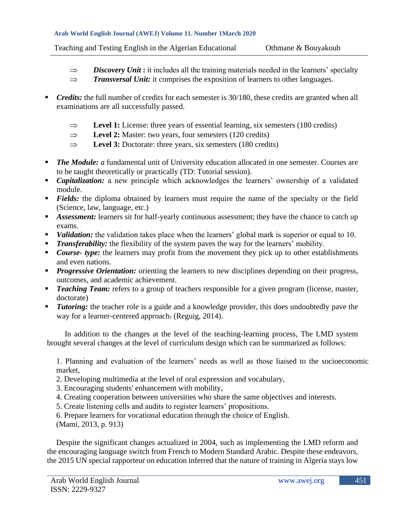- $\Rightarrow$  *Discovery Unit*: it includes all the training materials needed in the learners' specialty
- $\Rightarrow$  **Transversal Unit:** it comprises the exposition of learners to other languages.
- *Credits:* the full number of credits for each semester is 30/180, these credits are granted when all examinations are all successfully passed.
	- $\Rightarrow$  Level 1: License: three years of essential learning, six semesters (180 credits)
	- $\Rightarrow$  **Level 2:** Master: two years, four semesters (120 credits)
	- $\Rightarrow$  **Level 3:** Doctorate: three years, six semesters (180 credits)
- *The Module: a* fundamental unit of University education allocated in one semester. Courses are to be taught theoretically or practically (TD: Tutorial session).
- **•** *Capitalization:* a new principle which acknowledges the learners' ownership of a validated module.
- **•** *Fields:* the diploma obtained by learners must require the name of the specialty or the field (Science, law, language, etc.)
- **EXECUTE:** Assessment: learners sit for half-yearly continuous assessment; they have the chance to catch up exams.
- *Validation:* the validation takes place when the learners' global mark is superior or equal to 10.
- **Transferability:** the flexibility of the system paves the way for the learners' mobility.
- *Course-type:* the learners may profit from the movement they pick up to other establishments and even nations.
- **•** *Progressive Orientation:* orienting the learners to new disciplines depending on their progress, outcomes, and academic achievement.
- **•** *Teaching Team:* refers to a group of teachers responsible for a given program (license, master, doctorate)
- **Tutoring:** the teacher role is a guide and a knowledge provider, this does undoubtedly pave the way for a learner-centered approach. (Reguig, 2014).

In addition to the changes at the level of the teaching-learning process, The LMD system brought several changes at the level of curriculum design which can be summarized as follows:

1. Planning and evaluation of the learners' needs as well as those liaised to the socioeconomic market,

- 2. Developing multimedia at the level of oral expression and vocabulary,
- 3. Encouraging students' enhancement with mobility,
- 4. Creating cooperation between universities who share the same objectives and interests.
- 5. Create listening cells and audits to register learners' propositions.
- 6. Prepare learners for vocational education through the choice of English.

(Mami, 2013, p. 913)

Despite the significant changes actualized in 2004, such as implementing the LMD reform and the encouraging language switch from French to Modern Standard Arabic. Despite these endeavors, the 2015 UN special rapporteur on education inferred that the nature of training in Algeria stays low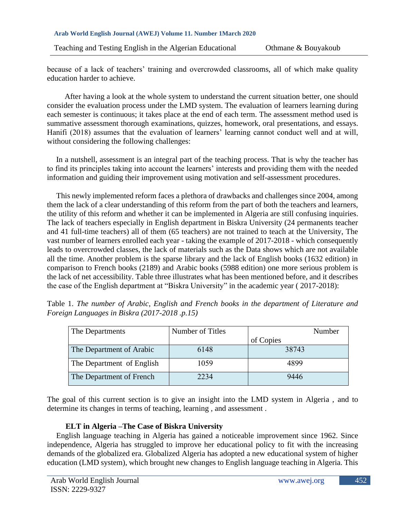because of a lack of teachers' training and overcrowded classrooms, all of which make quality education harder to achieve.

After having a look at the whole system to understand the current situation better, one should consider the evaluation process under the LMD system. The evaluation of learners learning during each semester is continuous; it takes place at the end of each term. The assessment method used is summative assessment thorough examinations, quizzes, homework, oral presentations, and essays. Hanifi (2018) assumes that the evaluation of learners' learning cannot conduct well and at will, without considering the following challenges:

In a nutshell, assessment is an integral part of the teaching process. That is why the teacher has to find its principles taking into account the learners' interests and providing them with the needed information and guiding their improvement using motivation and self-assessment procedures.

This newly implemented reform faces a plethora of drawbacks and challenges since 2004, among them the lack of a clear understanding of this reform from the part of both the teachers and learners, the utility of this reform and whether it can be implemented in Algeria are still confusing inquiries. The lack of teachers especially in English department in Biskra University (24 permanents teacher and 41 full-time teachers) all of them (65 teachers) are not trained to teach at the University, The vast number of learners enrolled each year - taking the example of 2017-2018 - which consequently leads to overcrowded classes, the lack of materials such as the Data shows which are not available all the time. Another problem is the sparse library and the lack of English books (1632 edition) in comparison to French books (2189) and Arabic books (5988 edition) one more serious problem is the lack of net accessibility. Table three illustrates what has been mentioned before, and it describes the case of the English department at "Biskra University" in the academic year ( 2017-2018):

| The Departments           | Number of Titles | Number    |
|---------------------------|------------------|-----------|
|                           |                  | of Copies |
| The Department of Arabic  | 6148             | 38743     |
| The Department of English | 1059             | 4899      |
| The Department of French  | 2234             | 9446      |

Table 1. *The number of Arabic, English and French books in the department of Literature and Foreign Languages in Biskra (2017-2018 .p.15)* 

The goal of this current section is to give an insight into the LMD system in Algeria , and to determine its changes in terms of teaching, learning , and assessment .

## **ELT in Algeria –The Case of Biskra University**

English language teaching in Algeria has gained a noticeable improvement since 1962. Since independence, Algeria has struggled to improve her educational policy to fit with the increasing demands of the globalized era. Globalized Algeria has adopted a new educational system of higher education (LMD system), which brought new changes to English language teaching in Algeria. This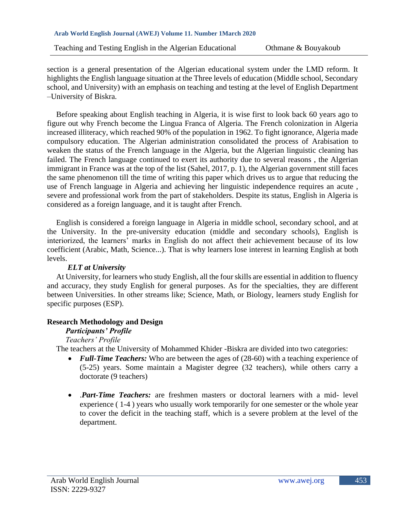section is a general presentation of the Algerian educational system under the LMD reform. It highlights the English language situation at the Three levels of education (Middle school, Secondary school, and University) with an emphasis on teaching and testing at the level of English Department –University of Biskra.

Before speaking about English teaching in Algeria, it is wise first to look back 60 years ago to figure out why French become the Lingua Franca of Algeria. The French colonization in Algeria increased illiteracy, which reached 90% of the population in 1962. To fight ignorance, Algeria made compulsory education. The Algerian administration consolidated the process of Arabisation to weaken the status of the French language in the Algeria, but the Algerian linguistic cleaning has failed. The French language continued to exert its authority due to several reasons , the Algerian immigrant in France was at the top of the list (Sahel, 2017, p. 1), the Algerian government still faces the same phenomenon till the time of writing this paper which drives us to argue that reducing the use of French language in Algeria and achieving her linguistic independence requires an acute , severe and professional work from the part of stakeholders. Despite its status, English in Algeria is considered as a foreign language, and it is taught after French.

English is considered a foreign language in Algeria in middle school, secondary school, and at the University. In the pre-university education (middle and secondary schools), English is interiorized, the learners' marks in English do not affect their achievement because of its low coefficient (Arabic, Math, Science...). That is why learners lose interest in learning English at both levels.

## *ELT at University*

At University, for learners who study English, all the four skills are essential in addition to fluency and accuracy, they study English for general purposes. As for the specialties, they are different between Universities. In other streams like; Science, Math, or Biology, learners study English for specific purposes (ESP).

## **Research Methodology and Design**

# *Participants' Profile*

*Teachers' Profile*

The teachers at the University of Mohammed Khider -Biskra are divided into two categories:

- *Full-Time Teachers:* Who are between the ages of (28-60) with a teaching experience of (5-25) years. Some maintain a Magister degree (32 teachers), while others carry a doctorate (9 teachers)
- .*Part-Time Teachers:* are freshmen masters or doctoral learners with a mid- level experience ( 1-4 ) years who usually work temporarily for one semester or the whole year to cover the deficit in the teaching staff, which is a severe problem at the level of the department.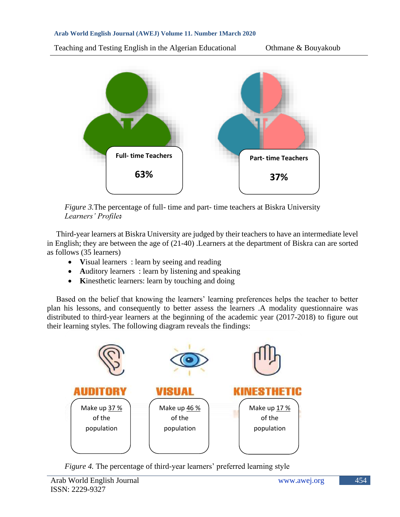Teaching and Testing English in the Algerian Educational Othmane & Bouyakoub



*Figure 3.*The percentage of full- time and part- time teachers at Biskra University *Learners' Profile:*

Third-year learners at Biskra University are judged by their teachers to have an intermediate level in English; they are between the age of (21-40) .Learners at the department of Biskra can are sorted as follows (35 learners)

- **V**isual learners : learn by seeing and reading
- Auditory learners : learn by listening and speaking
- **K**inesthetic learners: learn by touching and doing

Based on the belief that knowing the learners' learning preferences helps the teacher to better plan his lessons, and consequently to better assess the learners .A modality questionnaire was distributed to third-year learners at the beginning of the academic year (2017-2018) to figure out their learning styles. The following diagram reveals the findings:



*Figure 4.* The percentage of third-year learners' preferred learning style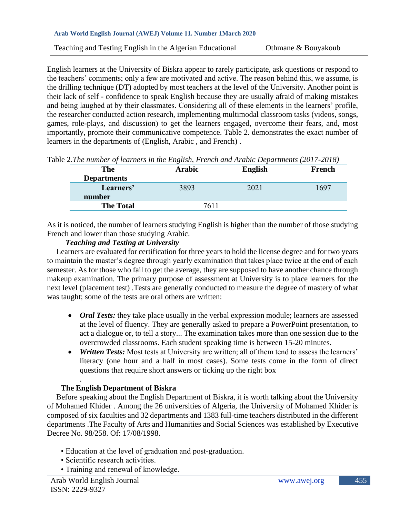English learners at the University of Biskra appear to rarely participate, ask questions or respond to the teachers' comments; only a few are motivated and active. The reason behind this, we assume, is the drilling technique (DT) adopted by most teachers at the level of the University. Another point is their lack of self - confidence to speak English because they are usually afraid of making mistakes and being laughed at by their classmates. Considering all of these elements in the learners' profile, the researcher conducted action research, implementing multimodal classroom tasks (videos, songs, games, role-plays, and discussion) to get the learners engaged, overcome their fears, and, most importantly, promote their communicative competence. Table 2. demonstrates the exact number of learners in the departments of (English, Arabic , and French) .

| $\sim$ 2.1 he had to $\sim$ 10 and the sum of the sum of the same in the sum of $\sim$ 10 and $\sim$ 10 and 11 and 11 and 11 and 12 and 13 and 14 and 14 and 14 and 14 and 14 and 14 and 14 and 14 and 14 and 14 and 14 and 14 and 14 |                    |               |                |        |  |
|---------------------------------------------------------------------------------------------------------------------------------------------------------------------------------------------------------------------------------------|--------------------|---------------|----------------|--------|--|
|                                                                                                                                                                                                                                       | <b>The</b>         | <b>Arabic</b> | <b>English</b> | French |  |
|                                                                                                                                                                                                                                       | <b>Departments</b> |               |                |        |  |
|                                                                                                                                                                                                                                       | Learners'          | 3893          | 2021           | 1697   |  |
|                                                                                                                                                                                                                                       | number             |               |                |        |  |
|                                                                                                                                                                                                                                       | <b>The Total</b>   | 7611          |                |        |  |

Table 2.*The number of learners in the English, French and Arabic Departments (2017-2018)*

As it is noticed, the number of learners studying English is higher than the number of those studying French and lower than those studying Arabic.

## *Teaching and Testing at University*

Learners are evaluated for certification for three years to hold the license degree and for two years to maintain the master's degree through yearly examination that takes place twice at the end of each semester. As for those who fail to get the average, they are supposed to have another chance through makeup examination. The primary purpose of assessment at University is to place learners for the next level (placement test) .Tests are generally conducted to measure the degree of mastery of what was taught; some of the tests are oral others are written:

- *Oral Tests:* they take place usually in the verbal expression module; learners are assessed at the level of fluency. They are generally asked to prepare a PowerPoint presentation, to act a dialogue or, to tell a story... The examination takes more than one session due to the overcrowded classrooms. Each student speaking time is between 15-20 minutes.
- *Written Tests:* Most tests at University are written; all of them tend to assess the learners' literacy (one hour and a half in most cases). Some tests come in the form of direct questions that require short answers or ticking up the right box

#### . **The English Department of Biskra**

Before speaking about the English Department of Biskra, it is worth talking about the University of Mohamed Khider . Among the 26 universities of Algeria, the University of Mohamed Khider is composed of six faculties and 32 departments and 1383 full-time teachers distributed in the different departments .The Faculty of Arts and Humanities and Social Sciences was established by Executive Decree No. 98/258. Of: 17/08/1998.

- Education at the level of graduation and post-graduation.
- Scientific research activities.
- Training and renewal of knowledge.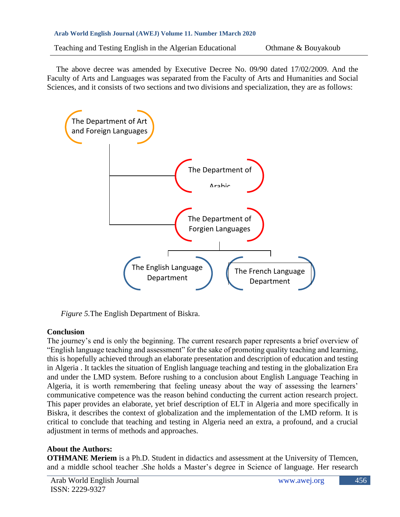Teaching and Testing English in the Algerian Educational Othmane & Bouyakoub

The above decree was amended by Executive Decree No. 09/90 dated 17/02/2009. And the Faculty of Arts and Languages was separated from the Faculty of Arts and Humanities and Social Sciences, and it consists of two sections and two divisions and specialization, they are as follows:



*Figure 5.*The English Department of Biskra.

## **Conclusion**

The journey's end is only the beginning. The current research paper represents a brief overview of "English language teaching and assessment" for the sake of promoting quality teaching and learning, this is hopefully achieved through an elaborate presentation and description of education and testing in Algeria . It tackles the situation of English language teaching and testing in the globalization Era and under the LMD system. Before rushing to a conclusion about English Language Teaching in Algeria, it is worth remembering that feeling uneasy about the way of assessing the learners' communicative competence was the reason behind conducting the current action research project. This paper provides an elaborate, yet brief description of ELT in Algeria and more specifically in Biskra, it describes the context of globalization and the implementation of the LMD reform. It is critical to conclude that teaching and testing in Algeria need an extra, a profound, and a crucial adjustment in terms of methods and approaches.

## **About the Authors:**

**OTHMANE Meriem** is a Ph.D. Student in didactics and assessment at the University of Tlemcen, and a middle school teacher .She holds a Master's degree in Science of language. Her research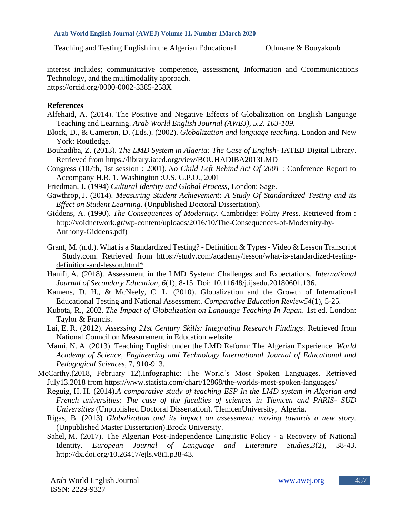interest includes; communicative competence, assessment, Information and Ccommunications Technology, and the multimodality approach. https://orcid.org/0000-0002-3385-258X

#### **References**

- Alfehaid, A. (2014). The Positive and Negative Effects of Globalization on English Language Teaching and Learning. *Arab World English Journal (AWEJ), 5.2. 103-109.*
- Block, D., & Cameron, D. (Eds.). (2002). *Globalization and language teaching.* London and New York: Routledge.
- Bouhadiba, Z. (2013). *The LMD System in Algeria: The Case of English* IATED Digital Library. Retrieved from<https://library.iated.org/view/BOUHADIBA2013LMD>
- Congress (107th, 1st session : 2001). *No Child Left Behind Act Of 2001* : Conference Report to Accompany H.R. 1. Washington :U.S. G.P.O., 2001
- Friedman, J. (1994) *Cultural Identity and Global Process*, London: Sage.
- Gawthrop, J. (2014). *Measuring Student Achievement: A Study Of Standardized Testing and its Effect on Student Learning*. (Unpublished Doctoral Dissertation).
- Giddens, A. (1990). *The Consequences of Modernity.* Cambridge: Polity Press. Retrieved from : [http://voidnetwork.gr/wp-content/uploads/2016/10/The-Consequences-of-Modernity-by-](http://voidnetwork.gr/wp-content/uploads/2016/10/The-Consequences-of-Modernity-by-Anthony-Giddens.pdf)[Anthony-Giddens.pdf\)](http://voidnetwork.gr/wp-content/uploads/2016/10/The-Consequences-of-Modernity-by-Anthony-Giddens.pdf)
- Grant, M. (n.d.). What is a Standardized Testing? Definition & Types Video & Lesson Transcript | Study.com. Retrieved from [https://study.com/academy/lesson/what-is-standardized-testing](https://study.com/academy/lesson/what-is-standardized-testing-definition-and-lesson.html*)[definition-and-lesson.html\\*](https://study.com/academy/lesson/what-is-standardized-testing-definition-and-lesson.html*)
- Hanifi, A. (2018). Assessment in the LMD System: Challenges and Expectations. *International Journal of Secondary Education*, *6*(1), 8-15. Doi: 10.11648/j.ijsedu.20180601.136.
- Kamens, D. H., & McNeely, C. L. (2010). Globalization and the Growth of International Educational Testing and National Assessment. *Comparative Education Review54*(1)*,* 5-25*.*
- Kubota, R., 2002. *The Impact of Globalization on Language Teaching In Japan*. 1st ed. London: Taylor & Francis.
- Lai, E. R. (2012). *Assessing 21st Century Skills: Integrating Research Findings*. Retrieved from National Council on Measurement in Education website.
- Mami, N. A. (2013). Teaching English under the LMD Reform: The Algerian Experience. *World Academy of Science, Engineering and Technology International Journal of Educational and Pedagogical Sciences*, 7, 910-913.
- McCarthy.(2018, February 12).Infographic: The World's Most Spoken Languages. Retrieved July13.2018 from<https://www.statista.com/chart/12868/the-worlds-most-spoken-languages/>
	- Reguig, H. H. (2014).*A comparative study of teaching ESP In the LMD system in Algerian and French universities: The case of the faculties of sciences in Tlemcen and PARIS- SUD Universities* (Unpublished Doctoral Dissertation). TlemcenUniversity, Algeria.
	- Rigas, B. (2013) *Globalization and its impact on assessment: moving towards a new story.* (Unpublished Master Dissertation).Brock University.
	- Sahel, M. (2017). The Algerian Post-Independence Linguistic Policy a Recovery of National Identity. *European Journal of Language and Literature Studies,3*(2), 38-43. [http://dx.doi.org/10.26417/ejls.v8i1.p38-43.](https://dx.doi.org/10.26417/ejls.v8i1.p38-43)